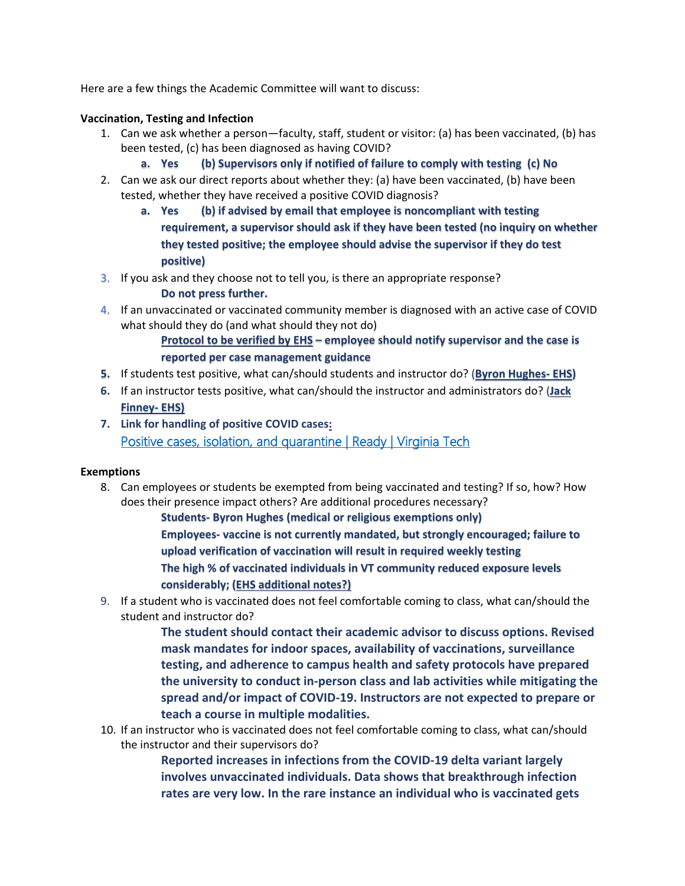Here are a few things the Academic Committee will want to discuss:

### **Vaccination, Testing and Infection**

- 1. Can we ask whether a person—faculty, staff, student or visitor: (a) has been vaccinated, (b) has been tested, (c) has been diagnosed as having COVID?
	- **a. Yes (b) Supervisors only if notified of failure to comply with testing (c) No**
- 2. Can we ask our direct reports about whether they: (a) have been vaccinated, (b) have been tested, whether they have received a positive COVID diagnosis?
	- **a. Yes (b) if advised by email that employee is noncompliant with testing requirement, a supervisor should ask if they have been tested (no inquiry on whether they tested positive; the employee should advise the supervisor if they do test positive)**
- 3. If you ask and they choose not to tell you, is there an appropriate response?

**Do not press further.**

4. If an unvaccinated or vaccinated community member is diagnosed with an active case of COVID what should they do (and what should they not do)

> **Protocol to be verified by EHS – employee should notify supervisor and the case is reported per case management guidance**

- **5.** If students test positive, what can/should students and instructor do? (**Byron Hughes- EHS)**
- **6.** If an instructor tests positive, what can/should the instructor and administrators do? (**Jack Finney- EHS)**
- **7. Link for handling of positive COVID cases:**  [Positive cases, isolation, and quarantine | Ready | Virginia Tech](https://ready.vt.edu/positive-cases-isolation-quarantine.html)

### **Exemptions**

8. Can employees or students be exempted from being vaccinated and testing? If so, how? How does their presence impact others? Are additional procedures necessary?

> **Students- Byron Hughes (medical or religious exemptions only) Employees- vaccine is not currently mandated, but strongly encouraged; failure to upload verification of vaccination will result in required weekly testing The high % of vaccinated individuals in VT community reduced exposure levels considerably; (EHS additional notes?)**

9. If a student who is vaccinated does not feel comfortable coming to class, what can/should the student and instructor do?

> **The student should contact their academic advisor to discuss options. Revised mask mandates for indoor spaces, availability of vaccinations, surveillance testing, and adherence to campus health and safety protocols have prepared the university to conduct in-person class and lab activities while mitigating the spread and/or impact of COVID-19. Instructors are not expected to prepare or teach a course in multiple modalities.**

10. If an instructor who is vaccinated does not feel comfortable coming to class, what can/should the instructor and their supervisors do?

> **Reported increases in infections from the COVID-19 delta variant largely involves unvaccinated individuals. Data shows that breakthrough infection rates are very low. In the rare instance an individual who is vaccinated gets**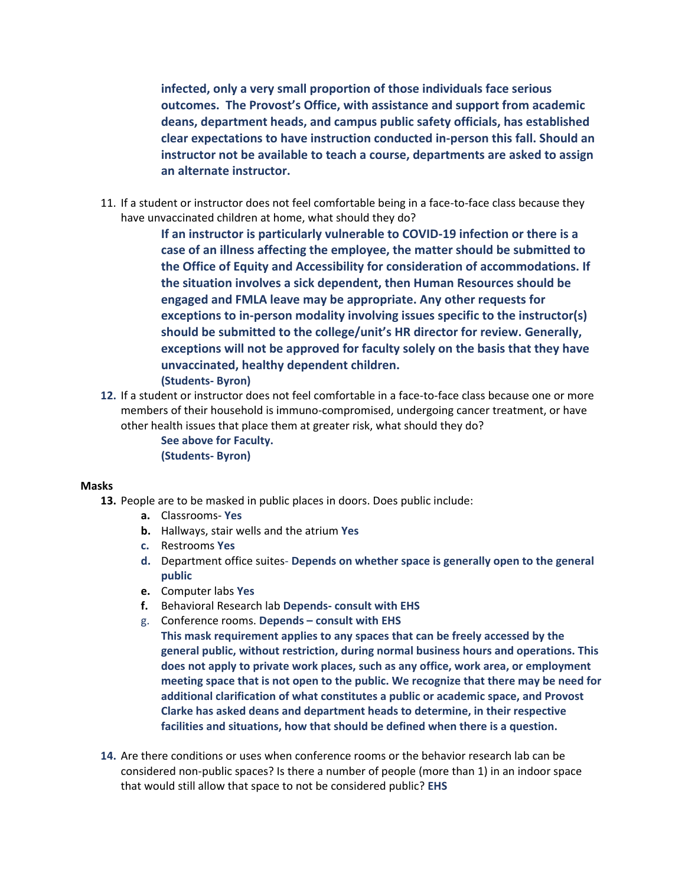**infected, only a very small proportion of those individuals face serious outcomes. The Provost's Office, with assistance and support from academic deans, department heads, and campus public safety officials, has established clear expectations to have instruction conducted in-person this fall. Should an instructor not be available to teach a course, departments are asked to assign an alternate instructor.**

11. If a student or instructor does not feel comfortable being in a face-to-face class because they have unvaccinated children at home, what should they do?

> **If an instructor is particularly vulnerable to COVID-19 infection or there is a case of an illness affecting the employee, the matter should be submitted to the Office of Equity and Accessibility for consideration of accommodations. If the situation involves a sick dependent, then Human Resources should be engaged and FMLA leave may be appropriate. Any other requests for exceptions to in-person modality involving issues specific to the instructor(s) should be submitted to the college/unit's HR director for review. Generally, exceptions will not be approved for faculty solely on the basis that they have unvaccinated, healthy dependent children. (Students- Byron)**

**12.** If a student or instructor does not feel comfortable in a face-to-face class because one or more members of their household is immuno-compromised, undergoing cancer treatment, or have other health issues that place them at greater risk, what should they do?

> **See above for Faculty. (Students- Byron)**

#### **Masks**

- **13.** People are to be masked in public places in doors. Does public include:
	- **a.** Classrooms- **Yes**
	- **b.** Hallways, stair wells and the atrium **Yes**
	- **c.** Restrooms **Yes**
	- **d.** Department office suites- **Depends on whether space is generally open to the general public**
	- **e.** Computer labs **Yes**
	- **f.** Behavioral Research lab **Depends- consult with EHS**
	- g. Conference rooms. **Depends – consult with EHS This mask requirement applies to any spaces that can be freely accessed by the general public, without restriction, during normal business hours and operations. This does not apply to private work places, such as any office, work area, or employment meeting space that is not open to the public. We recognize that there may be need for additional clarification of what constitutes a public or academic space, and Provost Clarke has asked deans and department heads to determine, in their respective facilities and situations, how that should be defined when there is a question.**
- **14.** Are there conditions or uses when conference rooms or the behavior research lab can be considered non-public spaces? Is there a number of people (more than 1) in an indoor space that would still allow that space to not be considered public? **EHS**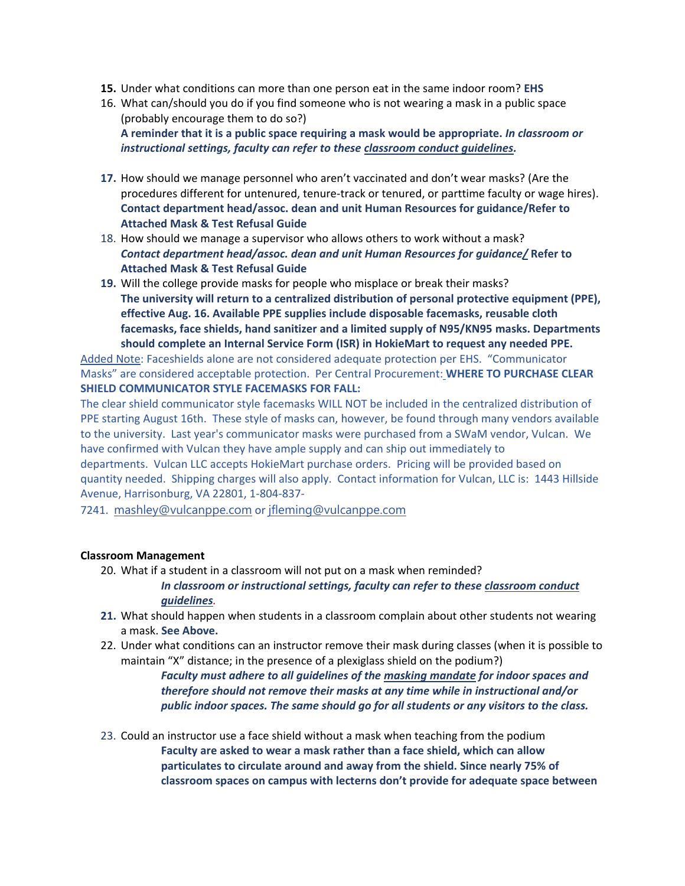- **15.** Under what conditions can more than one person eat in the same indoor room? **EHS**
- 16. What can/should you do if you find someone who is not wearing a mask in a public space (probably encourage them to do so?) **A reminder that it is a public space requiring a mask would be appropriate.** *In classroom or instructional settings, faculty can refer to these [classroom conduct guidelines.](https://www.provost.vt.edu/content/dam/provost_vt_edu/Classroom%20Conduct%20Guidance%20for%20Fall%202021.pdf)*
- **17.** How should we manage personnel who aren't vaccinated and don't wear masks? (Are the procedures different for untenured, tenure-track or tenured, or parttime faculty or wage hires). **Contact department head/assoc. dean and unit Human Resources for guidance/Refer to Attached Mask & Test Refusal Guide**
- 18. How should we manage a supervisor who allows others to work without a mask? *Contact department head/assoc. dean and unit Human Resources for guidance/* **Refer to Attached Mask & Test Refusal Guide**
- **19.** Will the college provide masks for people who misplace or break their masks? **The university will return to a centralized distribution of personal protective equipment (PPE), effective Aug. 16. Available PPE supplies include disposable facemasks, reusable cloth facemasks, face shields, hand sanitizer and a limited supply of N95/KN95 masks. Departments should complete an Internal Service Form (ISR) in HokieMart to request any needed PPE.**

Added Note: Faceshields alone are not considered adequate protection per EHS. "Communicator Masks" are considered acceptable protection. Per Central Procurement: **WHERE TO PURCHASE CLEAR SHIELD COMMUNICATOR STYLE FACEMASKS FOR FALL:**

The clear shield communicator style facemasks WILL NOT be included in the centralized distribution of PPE starting August 16th. These style of masks can, however, be found through many vendors available to the university. Last year's communicator masks were purchased from a SWaM vendor, Vulcan. We have confirmed with Vulcan they have ample supply and can ship out immediately to departments. Vulcan LLC accepts HokieMart purchase orders. Pricing will be provided based on quantity needed. Shipping charges will also apply. Contact information for Vulcan, LLC is: 1443 Hillside Avenue, Harrisonburg, VA 22801, 1-804-837-

7241. [mashley@vulcanppe.com](mailto:mashley@vulcanppe.com) or [jfleming@vulcanppe.com](mailto:jfleming@vulcanppe.com)

### **Classroom Management**

20. What if a student in a classroom will not put on a mask when reminded?

*In classroom or instructional settings, faculty can refer to these [classroom conduct](https://www.provost.vt.edu/content/dam/provost_vt_edu/Classroom%20Conduct%20Guidance%20for%20Fall%202021.pdf)  [guidelines](https://www.provost.vt.edu/content/dam/provost_vt_edu/Classroom%20Conduct%20Guidance%20for%20Fall%202021.pdf).*

- **21.** What should happen when students in a classroom complain about other students not wearing a mask. **See Above.**
- 22. Under what conditions can an instructor remove their mask during classes (when it is possible to maintain "X" distance; in the presence of a plexiglass shield on the podium?)

*Faculty must adhere to all guidelines of the [masking mandate](https://vtx.vt.edu/articles/2021/08/unirel-mask-requirements.html) for indoor spaces and therefore should not remove their masks at any time while in instructional and/or public indoor spaces. The same should go for all students or any visitors to the class.* 

23. Could an instructor use a face shield without a mask when teaching from the podium **Faculty are asked to wear a mask rather than a face shield, which can allow particulates to circulate around and away from the shield. Since nearly 75% of classroom spaces on campus with lecterns don't provide for adequate space between**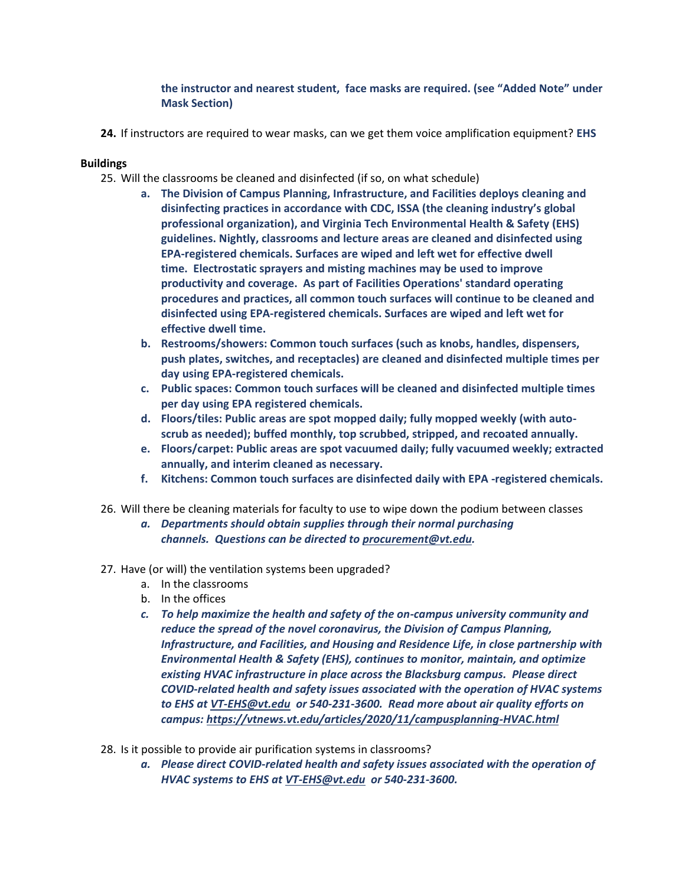# **the instructor and nearest student, face masks are required. (see "Added Note" under Mask Section)**

**24.** If instructors are required to wear masks, can we get them voice amplification equipment? **EHS**

## **Buildings**

- 25. Will the classrooms be cleaned and disinfected (if so, on what schedule)
	- **a. The Division of Campus Planning, Infrastructure, and Facilities deploys cleaning and disinfecting practices in accordance with CDC, ISSA (the cleaning industry's global professional organization), and Virginia Tech Environmental Health & Safety (EHS) guidelines. Nightly, classrooms and lecture areas are cleaned and disinfected using EPA-registered chemicals. Surfaces are wiped and left wet for effective dwell time. Electrostatic sprayers and misting machines may be used to improve productivity and coverage. As part of Facilities Operations' standard operating procedures and practices, all common touch surfaces will continue to be cleaned and disinfected using EPA-registered chemicals. Surfaces are wiped and left wet for effective dwell time.**
	- **b. Restrooms/showers: Common touch surfaces (such as knobs, handles, dispensers, push plates, switches, and receptacles) are cleaned and disinfected multiple times per day using EPA-registered chemicals.**
	- **c. Public spaces: Common touch surfaces will be cleaned and disinfected multiple times per day using EPA registered chemicals.**
	- **d. Floors/tiles: Public areas are spot mopped daily; fully mopped weekly (with autoscrub as needed); buffed monthly, top scrubbed, stripped, and recoated annually.**
	- **e. Floors/carpet: Public areas are spot vacuumed daily; fully vacuumed weekly; extracted annually, and interim cleaned as necessary.**
	- **f. Kitchens: Common touch surfaces are disinfected daily with EPA -registered chemicals.**
- 26. Will there be cleaning materials for faculty to use to wipe down the podium between classes
	- *a. Departments should obtain supplies through their normal purchasing channels. Questions can be directed to [procurement@vt.edu.](mailto:procurement@vt.edu)*
- 27. Have (or will) the ventilation systems been upgraded?
	- a. In the classrooms
	- b. In the offices
	- *c. To help maximize the health and safety of the on-campus university community and reduce the spread of the novel coronavirus, the Division of Campus Planning, Infrastructure, and Facilities, and Housing and Residence Life, in close partnership with Environmental Health & Safety (EHS), continues to monitor, maintain, and optimize existing HVAC infrastructure in place across the Blacksburg campus. Please direct COVID-related health and safety issues associated with the operation of HVAC systems to EHS at [VT-EHS@vt.edu](mailto:VT-EHS@vt.edu) or 540-231-3600. Read more about air quality efforts on campus[: https://vtnews.vt.edu/articles/2020/11/campusplanning-HVAC.html](https://vtnews.vt.edu/articles/2020/11/campusplanning-HVAC.html)*
- 28. Is it possible to provide air purification systems in classrooms?
	- *a. Please direct COVID-related health and safety issues associated with the operation of HVAC systems to EHS at [VT-EHS@vt.edu](mailto:VT-EHS@vt.edu) or 540-231-3600.*